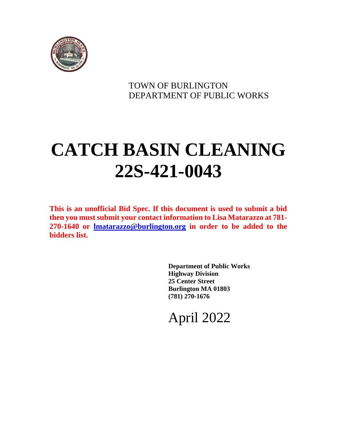

### TOWN OF BURLINGTON DEPARTMENT OF PUBLIC WORKS

# **CATCH BASIN CLEANING 22S-421-0043**

**This is an unofficial Bid Spec. If this document is used to submit a bid then you must submit your contact information to Lisa Matarazzo at 781- 270-1640 or [lmatarazzo@burlington.org](mailto:lmatarazzo@burlington.org) in order to be added to the bidders list.**

> **Department of Public Works Highway Division 25 Center Street Burlington MA 01803 (781) 270-1676**

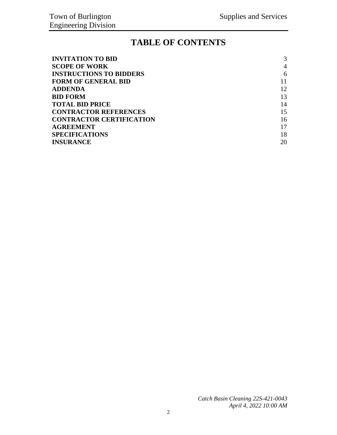### **TABLE OF CONTENTS**

| <b>INVITATION TO BID</b>        | 3  |
|---------------------------------|----|
| <b>SCOPE OF WORK</b>            | 4  |
| <b>INSTRUCTIONS TO BIDDERS</b>  | 6  |
| <b>FORM OF GENERAL BID</b>      |    |
| <b>ADDENDA</b>                  | 12 |
| <b>BID FORM</b>                 | 13 |
| <b>TOTAL BID PRICE</b>          | 14 |
| <b>CONTRACTOR REFERENCES</b>    | 15 |
| <b>CONTRACTOR CERTIFICATION</b> | 16 |
| <b>AGREEMENT</b>                | 17 |
| <b>SPECIFICATIONS</b>           | 18 |
| <b>INSURANCE</b>                | 20 |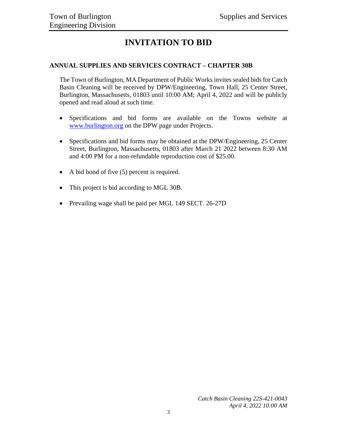# **INVITATION TO BID**

### <span id="page-2-0"></span>**ANNUAL SUPPLIES AND SERVICES CONTRACT – CHAPTER 30B**

The Town of Burlington, MA Department of Public Works invites sealed bids for Catch Basin Cleaning will be received by DPW/Engineering, Town Hall, 25 Center Street, Burlington, Massachusetts, 01803 until 10:00 AM; April 4, 2022 and will be publicly opened and read aloud at such time.

- Specifications and bid forms are available on the Towns website at [www.burlington.org](http://www.burlington.org/) on the DPW page under Projects.
- Specifications and bid forms may be obtained at the DPW/Engineering, 25 Center Street, Burlington, Massachusetts, 01803 after March 21 2022 between 8:30 AM and 4:00 PM for a non-refundable reproduction cost of \$25.00.
- A bid bond of five (5) percent is required.
- This project is bid according to MGL 30B.
- Prevailing wage shall be paid per MGL 149 SECT. 26-27D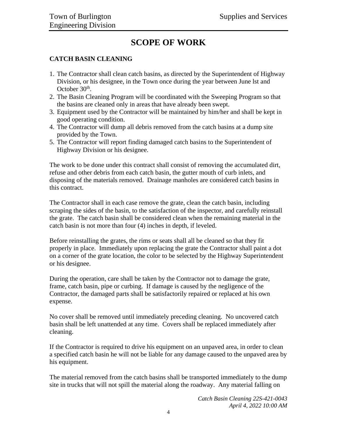### **SCOPE OF WORK**

### <span id="page-3-0"></span>**CATCH BASIN CLEANING**

- 1. The Contractor shall clean catch basins, as directed by the Superintendent of Highway Division, or his designee, in the Town once during the year between June lst and October 30<sup>th</sup>.
- 2. The Basin Cleaning Program will be coordinated with the Sweeping Program so that the basins are cleaned only in areas that have already been swept.
- 3. Equipment used by the Contractor will be maintained by him/her and shall be kept in good operating condition.
- 4. The Contractor will dump all debris removed from the catch basins at a dump site provided by the Town.
- 5. The Contractor will report finding damaged catch basins to the Superintendent of Highway Division or his designee.

The work to be done under this contract shall consist of removing the accumulated dirt, refuse and other debris from each catch basin, the gutter mouth of curb inlets, and disposing of the materials removed. Drainage manholes are considered catch basins in this contract.

The Contractor shall in each case remove the grate, clean the catch basin, including scraping the sides of the basin, to the satisfaction of the inspector, and carefully reinstall the grate. The catch basin shall be considered clean when the remaining material in the catch basin is not more than four (4) inches in depth, if leveled.

Before reinstalling the grates, the rims or seats shall all be cleaned so that they fit properly in place. Immediately upon replacing the grate the Contractor shall paint a dot on a corner of the grate location, the color to be selected by the Highway Superintendent or his designee.

During the operation, care shall be taken by the Contractor not to damage the grate, frame, catch basin, pipe or curbing. If damage is caused by the negligence of the Contractor, the damaged parts shall be satisfactorily repaired or replaced at his own expense.

No cover shall be removed until immediately preceding cleaning. No uncovered catch basin shall be left unattended at any time. Covers shall be replaced immediately after cleaning.

If the Contractor is required to drive his equipment on an unpaved area, in order to clean a specified catch basin he will not be liable for any damage caused to the unpaved area by his equipment.

The material removed from the catch basins shall be transported immediately to the dump site in trucks that will not spill the material along the roadway. Any material falling on

> *Catch Basin Cleaning 22S-421-0043 April 4, 2022 10:00 AM*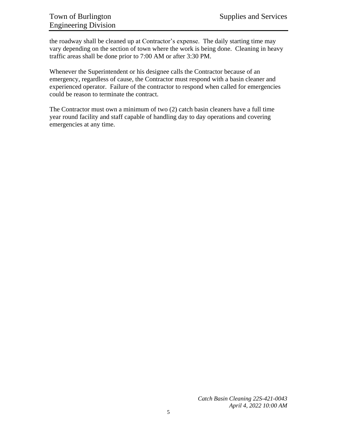the roadway shall be cleaned up at Contractor's expense. The daily starting time may vary depending on the section of town where the work is being done. Cleaning in heavy traffic areas shall be done prior to 7:00 AM or after 3:30 PM.

Whenever the Superintendent or his designee calls the Contractor because of an emergency, regardless of cause, the Contractor must respond with a basin cleaner and experienced operator. Failure of the contractor to respond when called for emergencies could be reason to terminate the contract.

The Contractor must own a minimum of two (2) catch basin cleaners have a full time year round facility and staff capable of handling day to day operations and covering emergencies at any time.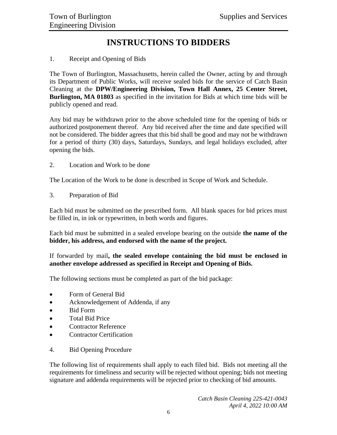### **INSTRUCTIONS TO BIDDERS**

### <span id="page-5-0"></span>1. Receipt and Opening of Bids

The Town of Burlington, Massachusetts, herein called the Owner, acting by and through its Department of Public Works, will receive sealed bids for the service of Catch Basin Cleaning at the **DPW/Engineering Division, Town Hall Annex, 25 Center Street, Burlington, MA 01803** as specified in the invitation for Bids at which time bids will be publicly opened and read.

Any bid may be withdrawn prior to the above scheduled time for the opening of bids or authorized postponement thereof. Any bid received after the time and date specified will not be considered. The bidder agrees that this bid shall be good and may not be withdrawn for a period of thirty (30) days, Saturdays, Sundays, and legal holidays excluded, after opening the bids.

2. Location and Work to be done

The Location of the Work to be done is described in Scope of Work and Schedule.

3. Preparation of Bid

Each bid must be submitted on the prescribed form. All blank spaces for bid prices must be filled in, in ink or typewritten, in both words and figures.

Each bid must be submitted in a sealed envelope bearing on the outside **the name of the bidder, his address, and endorsed with the name of the project.**

If forwarded by mail**, the sealed envelope containing the bid must be enclosed in another envelope addressed as specified in Receipt and Opening of Bids.**

The following sections must be completed as part of the bid package:

- Form of General Bid
- Acknowledgement of Addenda, if any
- Bid Form
- Total Bid Price
- Contractor Reference
- Contractor Certification
- 4. Bid Opening Procedure

The following list of requirements shall apply to each filed bid. Bids not meeting all the requirements for timeliness and security will be rejected without opening; bids not meeting signature and addenda requirements will be rejected prior to checking of bid amounts.

> *Catch Basin Cleaning 22S-421-0043 April 4, 2022 10:00 AM*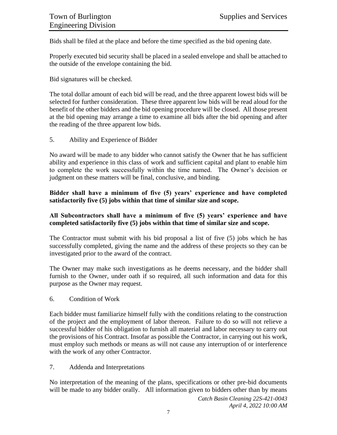Bids shall be filed at the place and before the time specified as the bid opening date.

Properly executed bid security shall be placed in a sealed envelope and shall be attached to the outside of the envelope containing the bid.

Bid signatures will be checked.

The total dollar amount of each bid will be read, and the three apparent lowest bids will be selected for further consideration. These three apparent low bids will be read aloud for the benefit of the other bidders and the bid opening procedure will be closed. All those present at the bid opening may arrange a time to examine all bids after the bid opening and after the reading of the three apparent low bids.

5. Ability and Experience of Bidder

No award will be made to any bidder who cannot satisfy the Owner that he has sufficient ability and experience in this class of work and sufficient capital and plant to enable him to complete the work successfully within the time named. The Owner's decision or judgment on these matters will be final, conclusive, and binding.

### **Bidder shall have a minimum of five (5) years' experience and have completed satisfactorily five (5) jobs within that time of similar size and scope.**

### **All Subcontractors shall have a minimum of five (5) years' experience and have completed satisfactorily five (5) jobs within that time of similar size and scope.**

The Contractor must submit with his bid proposal a list of five (5) jobs which he has successfully completed, giving the name and the address of these projects so they can be investigated prior to the award of the contract.

The Owner may make such investigations as he deems necessary, and the bidder shall furnish to the Owner, under oath if so required, all such information and data for this purpose as the Owner may request.

6. Condition of Work

Each bidder must familiarize himself fully with the conditions relating to the construction of the project and the employment of labor thereon. Failure to do so will not relieve a successful bidder of his obligation to furnish all material and labor necessary to carry out the provisions of his Contract. Insofar as possible the Contractor, in carrying out his work, must employ such methods or means as will not cause any interruption of or interference with the work of any other Contractor.

7. Addenda and Interpretations

No interpretation of the meaning of the plans, specifications or other pre-bid documents will be made to any bidder orally. All information given to bidders other than by means

> *Catch Basin Cleaning 22S-421-0043 April 4, 2022 10:00 AM*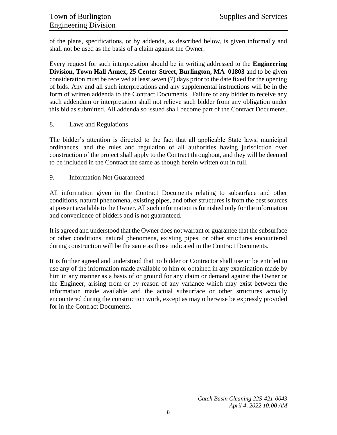of the plans, specifications, or by addenda, as described below, is given informally and shall not be used as the basis of a claim against the Owner.

Every request for such interpretation should be in writing addressed to the **Engineering Division, Town Hall Annex, 25 Center Street, Burlington, MA 01803** and to be given consideration must be received at least seven (7) days prior to the date fixed for the opening of bids. Any and all such interpretations and any supplemental instructions will be in the form of written addenda to the Contract Documents. Failure of any bidder to receive any such addendum or interpretation shall not relieve such bidder from any obligation under this bid as submitted. All addenda so issued shall become part of the Contract Documents.

#### 8. Laws and Regulations

The bidder's attention is directed to the fact that all applicable State laws, municipal ordinances, and the rules and regulation of all authorities having jurisdiction over construction of the project shall apply to the Contract throughout, and they will be deemed to be included in the Contract the same as though herein written out in full.

#### 9. Information Not Guaranteed

All information given in the Contract Documents relating to subsurface and other conditions, natural phenomena, existing pipes, and other structures is from the best sources at present available to the Owner. All such information is furnished only for the information and convenience of bidders and is not guaranteed.

It is agreed and understood that the Owner does not warrant or guarantee that the subsurface or other conditions, natural phenomena, existing pipes, or other structures encountered during construction will be the same as those indicated in the Contract Documents.

It is further agreed and understood that no bidder or Contractor shall use or be entitled to use any of the information made available to him or obtained in any examination made by him in any manner as a basis of or ground for any claim or demand against the Owner or the Engineer, arising from or by reason of any variance which may exist between the information made available and the actual subsurface or other structures actually encountered during the construction work, except as may otherwise be expressly provided for in the Contract Documents.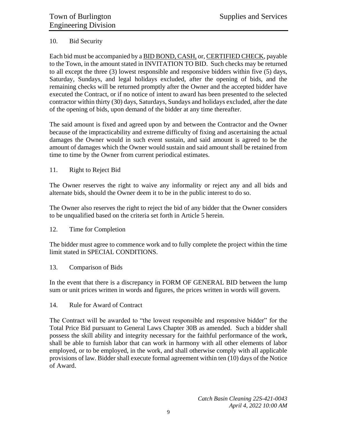### 10. Bid Security

Each bid must be accompanied by a BID BOND, CASH, or, CERTIFIED CHECK, payable to the Town, in the amount stated in INVITATION TO BID. Such checks may be returned to all except the three (3) lowest responsible and responsive bidders within five (5) days, Saturday, Sundays, and legal holidays excluded, after the opening of bids, and the remaining checks will be returned promptly after the Owner and the accepted bidder have executed the Contract, or if no notice of intent to award has been presented to the selected contractor within thirty (30) days, Saturdays, Sundays and holidays excluded, after the date of the opening of bids, upon demand of the bidder at any time thereafter.

The said amount is fixed and agreed upon by and between the Contractor and the Owner because of the impracticability and extreme difficulty of fixing and ascertaining the actual damages the Owner would in such event sustain, and said amount is agreed to be the amount of damages which the Owner would sustain and said amount shall be retained from time to time by the Owner from current periodical estimates.

#### 11. Right to Reject Bid

The Owner reserves the right to waive any informality or reject any and all bids and alternate bids, should the Owner deem it to be in the public interest to do so.

The Owner also reserves the right to reject the bid of any bidder that the Owner considers to be unqualified based on the criteria set forth in Article 5 herein.

### 12. Time for Completion

The bidder must agree to commence work and to fully complete the project within the time limit stated in SPECIAL CONDITIONS.

### 13. Comparison of Bids

In the event that there is a discrepancy in FORM OF GENERAL BID between the lump sum or unit prices written in words and figures, the prices written in words will govern.

#### 14. Rule for Award of Contract

The Contract will be awarded to "the lowest responsible and responsive bidder" for the Total Price Bid pursuant to General Laws Chapter 30B as amended. Such a bidder shall possess the skill ability and integrity necessary for the faithful performance of the work, shall be able to furnish labor that can work in harmony with all other elements of labor employed, or to be employed, in the work, and shall otherwise comply with all applicable provisions of law. Bidder shall execute formal agreement within ten (10) days of the Notice of Award.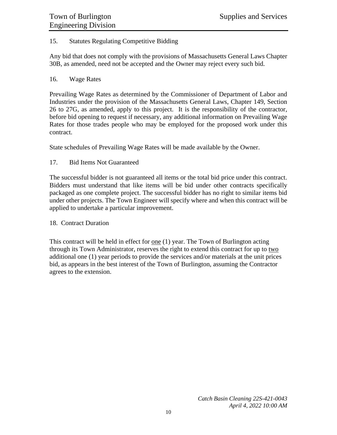### 15. Statutes Regulating Competitive Bidding

Any bid that does not comply with the provisions of Massachusetts General Laws Chapter 30B, as amended, need not be accepted and the Owner may reject every such bid.

#### 16. Wage Rates

Prevailing Wage Rates as determined by the Commissioner of Department of Labor and Industries under the provision of the Massachusetts General Laws, Chapter 149, Section 26 to 27G, as amended, apply to this project. It is the responsibility of the contractor, before bid opening to request if necessary, any additional information on Prevailing Wage Rates for those trades people who may be employed for the proposed work under this contract.

State schedules of Prevailing Wage Rates will be made available by the Owner.

### 17. Bid Items Not Guaranteed

The successful bidder is not guaranteed all items or the total bid price under this contract. Bidders must understand that like items will be bid under other contracts specifically packaged as one complete project. The successful bidder has no right to similar items bid under other projects. The Town Engineer will specify where and when this contract will be applied to undertake a particular improvement.

#### 18. Contract Duration

This contract will be held in effect for  $one(1)$  year. The Town of Burlington acting through its Town Administrator, reserves the right to extend this contract for up to two additional one (1) year periods to provide the services and/or materials at the unit prices bid, as appears in the best interest of the Town of Burlington, assuming the Contractor agrees to the extension.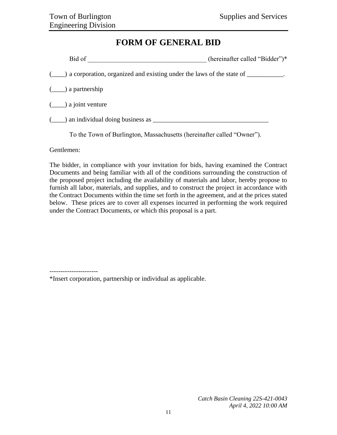### **FORM OF GENERAL BID**

<span id="page-10-0"></span>

| Bid of                                                                                    | (hereinafter called "Bidder")* |
|-------------------------------------------------------------------------------------------|--------------------------------|
| (_____) a corporation, organized and existing under the laws of the state of ___________. |                                |
| $(\underline{\hspace{1cm}})$ a partnership                                                |                                |
| $(\underline{\hspace{1cm}})$ a joint venture                                              |                                |
| $(\_\_\)$ an individual doing business as $\_\_\_\_\_\_\_\_\$                             |                                |
| To the Town of Burlington, Massachusetts (hereinafter called "Owner").                    |                                |

Gentlemen:

----------------------

The bidder, in compliance with your invitation for bids, having examined the Contract Documents and being familiar with all of the conditions surrounding the construction of the proposed project including the availability of materials and labor, hereby propose to furnish all labor, materials, and supplies, and to construct the project in accordance with the Contract Documents within the time set forth in the agreement, and at the prices stated below. These prices are to cover all expenses incurred in performing the work required under the Contract Documents, or which this proposal is a part.

\*Insert corporation, partnership or individual as applicable.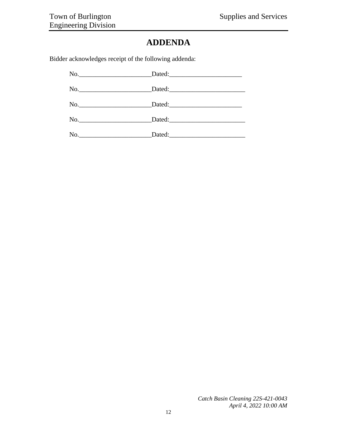### **ADDENDA**

<span id="page-11-0"></span>Bidder acknowledges receipt of the following addenda:

| No. |  |
|-----|--|
|     |  |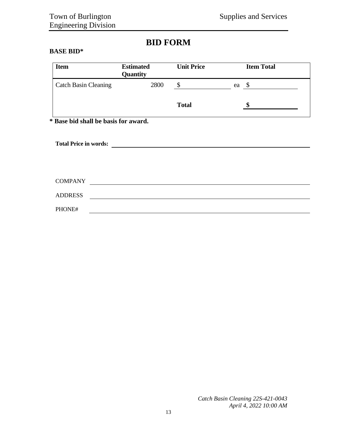### **BID FORM**

#### <span id="page-12-0"></span>**BASE BID\***

| <b>Item</b>                         | <b>Estimated</b><br>Quantity | <b>Unit Price</b> |    | <b>Item Total</b> |  |
|-------------------------------------|------------------------------|-------------------|----|-------------------|--|
| <b>Catch Basin Cleaning</b>         | 2800                         | \$                | ea | S                 |  |
|                                     |                              | <b>Total</b>      |    |                   |  |
| : Rosa hid shall ha hasis far award |                              |                   |    |                   |  |

**\* Base bid shall be basis for award.**

| <b>Total Price in words:</b> |  |  |  |
|------------------------------|--|--|--|
|                              |  |  |  |
|                              |  |  |  |
| <b>COMPANY</b>               |  |  |  |
| <b>ADDRESS</b>               |  |  |  |
| PHONE#                       |  |  |  |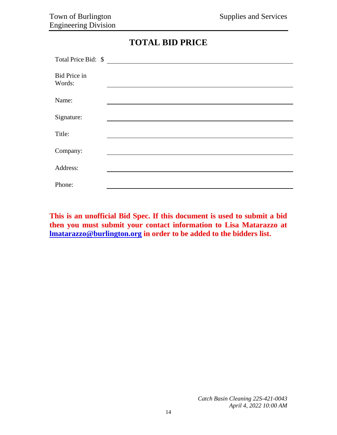| <b>TOTAL BID PRICE</b> |  |  |
|------------------------|--|--|
|------------------------|--|--|

<span id="page-13-0"></span>

| Total Price Bid: \$           |  |
|-------------------------------|--|
| <b>Bid Price in</b><br>Words: |  |
| Name:                         |  |
| Signature:                    |  |
| Title:                        |  |
| Company:                      |  |
| Address:                      |  |
| Phone:                        |  |

**This is an unofficial Bid Spec. If this document is used to submit a bid then you must submit your contact information to Lisa Matarazzo at [lmatarazzo@burlington.org](mailto:lmatarazzo@burlington.org) in order to be added to the bidders list.**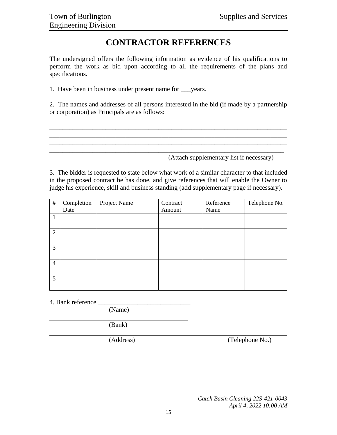### **CONTRACTOR REFERENCES**

<span id="page-14-0"></span>The undersigned offers the following information as evidence of his qualifications to perform the work as bid upon according to all the requirements of the plans and specifications.

1. Have been in business under present name for \_\_\_years.

2. The names and addresses of all persons interested in the bid (if made by a partnership or corporation) as Principals are as follows:

\_\_\_\_\_\_\_\_\_\_\_\_\_\_\_\_\_\_\_\_\_\_\_\_\_\_\_\_\_\_\_\_\_\_\_\_\_\_\_\_\_\_\_\_\_\_\_\_\_\_\_\_\_\_\_\_\_\_\_\_\_\_\_\_\_\_\_\_\_\_\_\_ \_\_\_\_\_\_\_\_\_\_\_\_\_\_\_\_\_\_\_\_\_\_\_\_\_\_\_\_\_\_\_\_\_\_\_\_\_\_\_\_\_\_\_\_\_\_\_\_\_\_\_\_\_\_\_\_\_\_\_\_\_\_\_\_\_\_\_\_\_\_\_\_ \_\_\_\_\_\_\_\_\_\_\_\_\_\_\_\_\_\_\_\_\_\_\_\_\_\_\_\_\_\_\_\_\_\_\_\_\_\_\_\_\_\_\_\_\_\_\_\_\_\_\_\_\_\_\_\_\_\_\_\_\_\_\_\_\_\_\_\_\_\_\_\_ \_\_\_\_\_\_\_\_\_\_\_\_\_\_\_\_\_\_\_\_\_\_\_\_\_\_\_\_\_\_\_\_\_\_\_\_\_\_\_\_\_\_\_\_\_\_\_\_\_\_\_\_\_\_\_\_\_\_\_\_\_\_\_\_\_\_\_\_\_\_\_

(Attach supplementary list if necessary)

3. The bidder is requested to state below what work of a similar character to that included in the proposed contract he has done, and give references that will enable the Owner to judge his experience, skill and business standing (add supplementary page if necessary).

| $\#$           | Completion | Project Name | Contract | Reference | Telephone No. |
|----------------|------------|--------------|----------|-----------|---------------|
|                | Date       |              | Amount   | Name      |               |
| 1              |            |              |          |           |               |
|                |            |              |          |           |               |
| 2              |            |              |          |           |               |
|                |            |              |          |           |               |
| $\mathfrak{Z}$ |            |              |          |           |               |
|                |            |              |          |           |               |
| $\overline{4}$ |            |              |          |           |               |
|                |            |              |          |           |               |
| 5 <sup>5</sup> |            |              |          |           |               |
|                |            |              |          |           |               |

4. Bank reference

(Name)

(Bank)

(Address) (Telephone No.)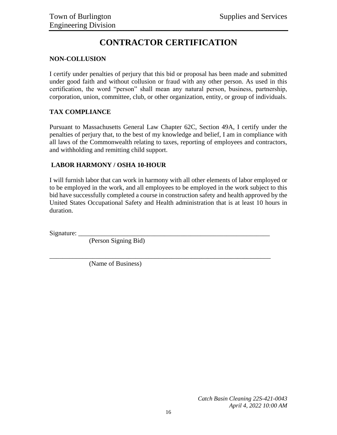# **CONTRACTOR CERTIFICATION**

### <span id="page-15-0"></span>**NON-COLLUSION**

I certify under penalties of perjury that this bid or proposal has been made and submitted under good faith and without collusion or fraud with any other person. As used in this certification, the word "person" shall mean any natural person, business, partnership, corporation, union, committee, club, or other organization, entity, or group of individuals.

### **TAX COMPLIANCE**

Pursuant to Massachusetts General Law Chapter 62C, Section 49A, I certify under the penalties of perjury that, to the best of my knowledge and belief, I am in compliance with all laws of the Commonwealth relating to taxes, reporting of employees and contractors, and withholding and remitting child support.

### **LABOR HARMONY / OSHA 10-HOUR**

I will furnish labor that can work in harmony with all other elements of labor employed or to be employed in the work, and all employees to be employed in the work subject to this bid have successfully completed a course in construction safety and health approved by the United States Occupational Safety and Health administration that is at least 10 hours in duration.

\_\_\_\_\_\_\_\_\_\_\_\_\_\_\_\_\_\_\_\_\_\_\_\_\_\_\_\_\_\_\_\_\_\_\_\_\_\_\_\_\_\_\_\_\_\_\_\_\_\_\_\_\_\_\_\_\_\_\_\_\_\_\_\_\_\_\_

Signature:

(Person Signing Bid)

(Name of Business)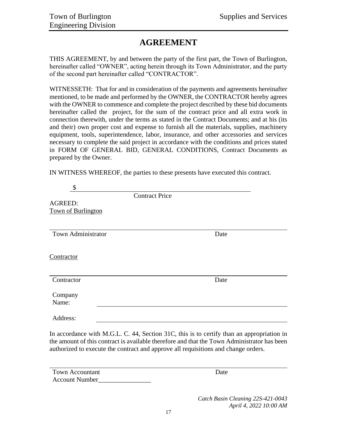### **AGREEMENT**

<span id="page-16-0"></span>THIS AGREEMENT, by and between the party of the first part, the Town of Burlington, hereinafter called "OWNER", acting herein through its Town Administrator, and the party of the second part hereinafter called "CONTRACTOR".

WITNESSETH: That for and in consideration of the payments and agreements hereinafter mentioned, to be made and performed by the OWNER, the CONTRACTOR hereby agrees with the OWNER to commence and complete the project described by these bid documents hereinafter called the project, for the sum of the contract price and all extra work in connection therewith, under the terms as stated in the Contract Documents; and at his (its and their) own proper cost and expense to furnish all the materials, supplies, machinery equipment, tools, superintendence, labor, insurance, and other accessories and services necessary to complete the said project in accordance with the conditions and prices stated in FORM OF GENERAL BID, GENERAL CONDITIONS, Contract Documents as prepared by the Owner.

IN WITNESS WHEREOF, the parties to these presents have executed this contract.

| \$                 |                       |      |
|--------------------|-----------------------|------|
|                    | <b>Contract Price</b> |      |
| <b>AGREED:</b>     |                       |      |
| Town of Burlington |                       |      |
|                    |                       |      |
| Town Administrator |                       | Date |
| Contractor         |                       |      |
| Contractor         |                       | Date |
| Company<br>Name:   |                       |      |
| Address:           |                       |      |

In accordance with M.G.L. C. 44, Section 31C, this is to certify than an appropriation in the amount of this contract is available therefore and that the Town Administrator has been authorized to execute the contract and approve all requisitions and change orders.

| <b>Town Accountant</b> | Date |
|------------------------|------|
| <b>Account Number</b>  |      |

*Catch Basin Cleaning 22S-421-0043 April 4, 2022 10:00 AM*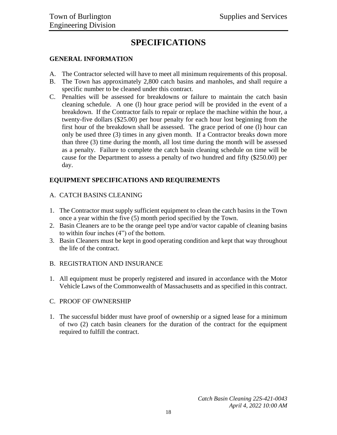### **SPECIFICATIONS**

### <span id="page-17-0"></span>**GENERAL INFORMATION**

- A. The Contractor selected will have to meet all minimum requirements of this proposal.
- B. The Town has approximately 2,800 catch basins and manholes, and shall require a specific number to be cleaned under this contract.
- C. Penalties will be assessed for breakdowns or failure to maintain the catch basin cleaning schedule. A one (l) hour grace period will be provided in the event of a breakdown. If the Contractor fails to repair or replace the machine within the hour, a twenty-five dollars (\$25.00) per hour penalty for each hour lost beginning from the first hour of the breakdown shall be assessed. The grace period of one (l) hour can only be used three (3) times in any given month. If a Contractor breaks down more than three (3) time during the month, all lost time during the month will be assessed as a penalty. Failure to complete the catch basin cleaning schedule on time will be cause for the Department to assess a penalty of two hundred and fifty (\$250.00) per day.

### **EQUIPMENT SPECIFICATIONS AND REQUIREMENTS**

- A. CATCH BASINS CLEANING
- 1. The Contractor must supply sufficient equipment to clean the catch basins in the Town once a year within the five (5) month period specified by the Town.
- 2. Basin Cleaners are to be the orange peel type and/or vactor capable of cleaning basins to within four inches (4") of the bottom.
- 3. Basin Cleaners must be kept in good operating condition and kept that way throughout the life of the contract.
- B. REGISTRATION AND INSURANCE
- 1. All equipment must be properly registered and insured in accordance with the Motor Vehicle Laws of the Commonwealth of Massachusetts and as specified in this contract.

### C. PROOF OF OWNERSHIP

1. The successful bidder must have proof of ownership or a signed lease for a minimum of two (2) catch basin cleaners for the duration of the contract for the equipment required to fulfill the contract.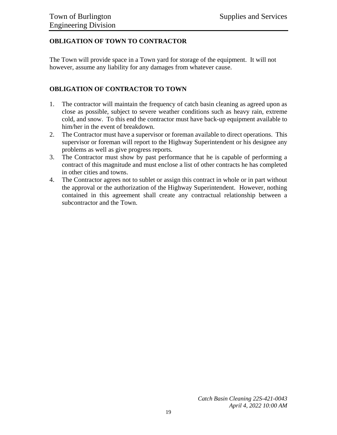### **OBLIGATION OF TOWN TO CONTRACTOR**

The Town will provide space in a Town yard for storage of the equipment. It will not however, assume any liability for any damages from whatever cause.

### **OBLIGATION OF CONTRACTOR TO TOWN**

- 1. The contractor will maintain the frequency of catch basin cleaning as agreed upon as close as possible, subject to severe weather conditions such as heavy rain, extreme cold, and snow. To this end the contractor must have back-up equipment available to him/her in the event of breakdown.
- 2. The Contractor must have a supervisor or foreman available to direct operations. This supervisor or foreman will report to the Highway Superintendent or his designee any problems as well as give progress reports.
- 3. The Contractor must show by past performance that he is capable of performing a contract of this magnitude and must enclose a list of other contracts he has completed in other cities and towns.
- 4. The Contractor agrees not to sublet or assign this contract in whole or in part without the approval or the authorization of the Highway Superintendent. However, nothing contained in this agreement shall create any contractual relationship between a subcontractor and the Town.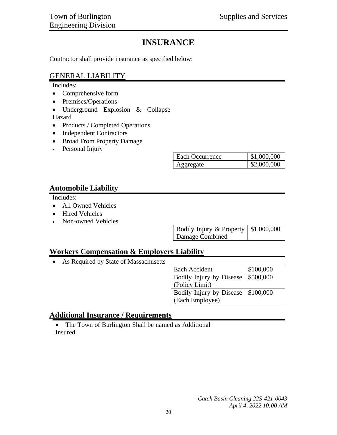### **INSURANCE**

<span id="page-19-0"></span>Contractor shall provide insurance as specified below:

### GENERAL LIABILITY

Includes:

- Comprehensive form
- Premises/Operations
- Underground Explosion & Collapse Hazard
- Products / Completed Operations
- Independent Contractors
- Broad From Property Damage
- Personal Injury

| Each Occurrence | \$1,000,000 |
|-----------------|-------------|
| Aggregate       | \$2,000,000 |

### **Automobile Liability**

Includes:

- All Owned Vehicles
- Hired Vehicles
- Non-owned Vehicles

| Bodily Injury & Property $\vert$ \$1,000,000 |  |
|----------------------------------------------|--|
| Damage Combined                              |  |

### **Workers Compensation & Employers Liability**

As Required by State of Massachusetts

| Each Accident                        | \$100,000 |
|--------------------------------------|-----------|
| Bodily Injury by Disease   \$500,000 |           |
| (Policy Limit)                       |           |
| Bodily Injury by Disease   \$100,000 |           |
| (Each Employee)                      |           |

### **Additional Insurance / Requirements**

• The Town of Burlington Shall be named as Additional Insured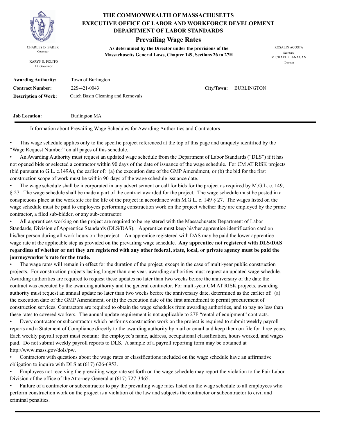

KARYN E. POLITO Lt. Governor

#### **THE COMMONWEALTH OF MASSACHUSETTS DEPARTMENT OF LABOR STANDARDS EXECUTIVE OFFICE OF LABOR AND WORKFORCE DEVELOPMENT**

### **Prevailing Wage Rates**

**As determined by the Director under the provisions of the**  CHARLES D. BAKER ROSALIN ACOSTA Governor<br>**Massachusetts General Laws, Chapter 149, Sections 26 to 27H** 

MICHAEL FLANAGAN Director

| Awarding Authority:         | Town of Burlington                |
|-----------------------------|-----------------------------------|
| <b>Contract Number:</b>     | 22S-421-0043                      |
| <b>Description of Work:</b> | Catch Basin Cleaning and Removals |

 $City/Down:$  **BURLINGTON** 

**Job Location:** Burlington MA

Information about Prevailing Wage Schedules for Awarding Authorities and Contractors

• This wage schedule applies only to the specific project referenced at the top of this page and uniquely identified by the "Wage Request Number" on all pages of this schedule.

• An Awarding Authority must request an updated wage schedule from the Department of Labor Standards ("DLS") if it has not opened bids or selected a contractor within 90 days of the date of issuance of the wage schedule. For CM AT RISK projects (bid pursuant to G.L. c.149A), the earlier of: (a) the execution date of the GMP Amendment, or (b) the bid for the first construction scope of work must be within 90-days of the wage schedule issuance date.

• The wage schedule shall be incorporated in any advertisement or call for bids for the project as required by M.G.L. c. 149, § 27. The wage schedule shall be made a part of the contract awarded for the project. The wage schedule must be posted in a conspicuous place at the work site for the life of the project in accordance with M.G.L. c. 149 § 27. The wages listed on the wage schedule must be paid to employees performing construction work on the project whether they are employed by the prime contractor, a filed sub-bidder, or any sub-contractor.

• All apprentices working on the project are required to be registered with the Massachusetts Department of Labor Standards, Division of Apprentice Standards (DLS/DAS). Apprentice must keep his/her apprentice identification card on his/her person during all work hours on the project. An apprentice registered with DAS may be paid the lower apprentice wage rate at the applicable step as provided on the prevailing wage schedule. **Any apprentice not registered with DLS/DAS regardless of whether or not they are registered with any other federal, state, local, or private agency must be paid the journeyworker's rate for the trade.**

• The wage rates will remain in effect for the duration of the project, except in the case of multi-year public construction projects. For construction projects lasting longer than one year, awarding authorities must request an updated wage schedule. Awarding authorities are required to request these updates no later than two weeks before the anniversary of the date the contract was executed by the awarding authority and the general contractor. For multi-year CM AT RISK projects, awarding authority must request an annual update no later than two weeks before the anniversary date, determined as the earlier of: (a) the execution date of the GMP Amendment, or (b) the execution date of the first amendment to permit procurement of construction services. Contractors are required to obtain the wage schedules from awarding authorities, and to pay no less than these rates to covered workers. The annual update requirement is not applicable to 27F "rental of equipment" contracts.

• Every contractor or subcontractor which performs construction work on the project is required to submit weekly payroll reports and a Statement of Compliance directly to the awarding authority by mail or email and keep them on file for three years. Each weekly payroll report must contain: the employee's name, address, occupational classification, hours worked, and wages paid. Do not submit weekly payroll reports to DLS. A sample of a payroll reporting form may be obtained at http://www.mass.gov/dols/pw.

• Contractors with questions about the wage rates or classifications included on the wage schedule have an affirmative obligation to inquire with DLS at (617) 626-6953.

• Employees not receiving the prevailing wage rate set forth on the wage schedule may report the violation to the Fair Labor Division of the office of the Attorney General at (617) 727-3465.

• Failure of a contractor or subcontractor to pay the prevailing wage rates listed on the wage schedule to all employees who perform construction work on the project is a violation of the law and subjects the contractor or subcontractor to civil and criminal penalties.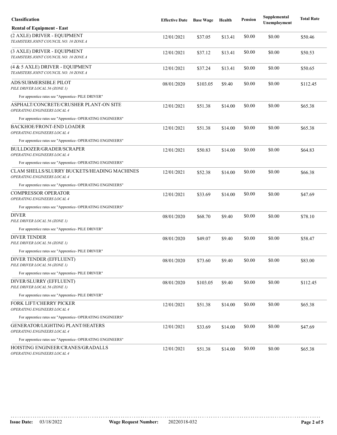| <b>Classification</b>                                                             | <b>Effective Date</b> | <b>Base Wage</b> | Health  | <b>Pension</b> | Supplemental<br>Unemployment | <b>Total Rate</b> |
|-----------------------------------------------------------------------------------|-----------------------|------------------|---------|----------------|------------------------------|-------------------|
| <b>Rental of Equipment - East</b>                                                 |                       |                  |         |                |                              |                   |
| (2 AXLE) DRIVER - EQUIPMENT<br>TEAMSTERS JOINT COUNCIL NO. 10 ZONE A              | 12/01/2021            | \$37.05          | \$13.41 | \$0.00         | \$0.00                       | \$50.46           |
| (3 AXLE) DRIVER - EQUIPMENT<br>TEAMSTERS JOINT COUNCIL NO. 10 ZONE A              | 12/01/2021            | \$37.12          | \$13.41 | \$0.00         | \$0.00                       | \$50.53           |
| (4 & 5 AXLE) DRIVER - EQUIPMENT<br>TEAMSTERS JOINT COUNCIL NO. 10 ZONE A          | 12/01/2021            | \$37.24          | \$13.41 | \$0.00         | \$0.00                       | \$50.65           |
| ADS/SUBMERSIBLE PILOT<br>PILE DRIVER LOCAL 56 (ZONE 1)                            | 08/01/2020            | \$103.05         | \$9.40  | \$0.00         | \$0.00                       | \$112.45          |
| For apprentice rates see "Apprentice- PILE DRIVER"                                |                       |                  |         |                |                              |                   |
| ASPHALT/CONCRETE/CRUSHER PLANT-ON SITE<br>OPERATING ENGINEERS LOCAL 4             | 12/01/2021            | \$51.38          | \$14.00 | \$0.00         | \$0.00                       | \$65.38           |
| For apprentice rates see "Apprentice-OPERATING ENGINEERS"                         |                       |                  |         |                |                              |                   |
| BACKHOE/FRONT-END LOADER<br>OPERATING ENGINEERS LOCAL 4                           | 12/01/2021            | \$51.38          | \$14.00 | \$0.00         | \$0.00                       | \$65.38           |
| For apprentice rates see "Apprentice-OPERATING ENGINEERS"                         |                       |                  |         |                |                              |                   |
| BULLDOZER/GRADER/SCRAPER<br>OPERATING ENGINEERS LOCAL 4                           | 12/01/2021            | \$50.83          | \$14.00 | \$0.00         | \$0.00                       | \$64.83           |
| For apprentice rates see "Apprentice- OPERATING ENGINEERS"                        |                       |                  |         |                |                              |                   |
| CLAM SHELLS/SLURRY BUCKETS/HEADING MACHINES<br><b>OPERATING ENGINEERS LOCAL 4</b> | 12/01/2021            | \$52.38          | \$14.00 | \$0.00         | \$0.00                       | \$66.38           |
| For apprentice rates see "Apprentice- OPERATING ENGINEERS"                        |                       |                  |         |                |                              |                   |
| <b>COMPRESSOR OPERATOR</b><br><b>OPERATING ENGINEERS LOCAL 4</b>                  | 12/01/2021            | \$33.69          | \$14.00 | \$0.00         | \$0.00                       | \$47.69           |
| For apprentice rates see "Apprentice-OPERATING ENGINEERS"                         |                       |                  |         |                |                              |                   |
| <b>DIVER</b><br>PILE DRIVER LOCAL 56 (ZONE 1)                                     | 08/01/2020            | \$68.70          | \$9.40  | \$0.00         | \$0.00                       | \$78.10           |
| For apprentice rates see "Apprentice- PILE DRIVER"                                |                       |                  |         |                |                              |                   |
| <b>DIVER TENDER</b><br>PILE DRIVER LOCAL 56 (ZONE 1)                              | 08/01/2020            | \$49.07          | \$9.40  | \$0.00         | \$0.00                       | \$58.47           |
| For apprentice rates see "Apprentice- PILE DRIVER"                                |                       |                  |         |                |                              |                   |
| DIVER TENDER (EFFLUENT)<br>PILE DRIVER LOCAL 56 (ZONE 1)                          | 08/01/2020            | \$73.60          | \$9.40  | \$0.00         | \$0.00                       | \$83.00           |
| For apprentice rates see "Apprentice- PILE DRIVER"                                |                       |                  |         |                |                              |                   |
| DIVER/SLURRY (EFFLUENT)<br>PILE DRIVER LOCAL 56 (ZONE 1)                          | 08/01/2020            | \$103.05         | \$9.40  | \$0.00         | \$0.00                       | \$112.45          |
| For apprentice rates see "Apprentice- PILE DRIVER"                                |                       |                  |         |                |                              |                   |
| FORK LIFT/CHERRY PICKER<br><b>OPERATING ENGINEERS LOCAL 4</b>                     | 12/01/2021            | \$51.38          | \$14.00 | \$0.00         | \$0.00                       | \$65.38           |
| For apprentice rates see "Apprentice- OPERATING ENGINEERS"                        |                       |                  |         |                |                              |                   |
| <b>GENERATOR/LIGHTING PLANT/HEATERS</b><br>OPERATING ENGINEERS LOCAL 4            | 12/01/2021            | \$33.69          | \$14.00 | \$0.00         | \$0.00                       | \$47.69           |
| For apprentice rates see "Apprentice- OPERATING ENGINEERS"                        |                       |                  |         |                |                              |                   |
| HOISTING ENGINEER/CRANES/GRADALLS<br>OPERATING ENGINEERS LOCAL 4                  | 12/01/2021            | \$51.38          | \$14.00 | \$0.00         | \$0.00                       | \$65.38           |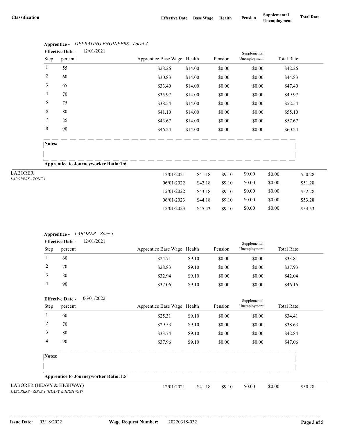|              | <b>Effective Date -</b> | 12/01/2021                                   |                             |         |         | Supplemental |                   |         |
|--------------|-------------------------|----------------------------------------------|-----------------------------|---------|---------|--------------|-------------------|---------|
| Step         | percent                 |                                              | Apprentice Base Wage Health |         | Pension | Unemployment | <b>Total Rate</b> |         |
| 1            | 55                      |                                              | \$28.26                     | \$14.00 | \$0.00  | \$0.00       | \$42.26           |         |
| 2            | 60                      |                                              | \$30.83                     | \$14.00 | \$0.00  | \$0.00       | \$44.83           |         |
| 3            | 65                      |                                              | \$33.40                     | \$14.00 | \$0.00  | \$0.00       | \$47.40           |         |
| 4            | 70                      |                                              | \$35.97                     | \$14.00 | \$0.00  | \$0.00       | \$49.97           |         |
| 5            | 75                      |                                              | \$38.54                     | \$14.00 | \$0.00  | \$0.00       | \$52.54           |         |
| 6            | 80                      |                                              | \$41.10                     | \$14.00 | \$0.00  | \$0.00       | \$55.10           |         |
| 7            | 85                      |                                              | \$43.67                     | \$14.00 | \$0.00  | \$0.00       | \$57.67           |         |
| 8            | 90                      |                                              | \$46.24                     | \$14.00 | \$0.00  | \$0.00       | \$60.24           |         |
| Notes:       |                         | <b>Apprentice to Journeyworker Ratio:1:6</b> |                             |         |         |              |                   |         |
| $\mathbf{r}$ |                         |                                              | 12/01/2021                  | \$41.18 | \$9.10  | \$0.00       | \$0.00            | \$50.28 |

### **Apprentice -** *OPERATING ENGINEERS - Local 4*

| Apprentice to Journeyworker Katio:1:0 |            |         |        |        |        |         |
|---------------------------------------|------------|---------|--------|--------|--------|---------|
| <b>LABORER</b>                        | 12/01/2021 | \$41.18 | \$9.10 | \$0.00 | \$0.00 | \$50.28 |
| <i>LABORERS - ZONE 1</i>              | 06/01/2022 | \$42.18 | \$9.10 | \$0.00 | \$0.00 | \$51.28 |
|                                       | 12/01/2022 | \$43.18 | \$9.10 | \$0.00 | \$0.00 | \$52.28 |
|                                       | 06/01/2023 | \$44.18 | \$9.10 | \$0.00 | \$0.00 | \$53.28 |
|                                       | 12/01/2023 | \$45.43 | \$9.10 | \$0.00 | \$0.00 | \$54.53 |

3 80 \$32.94 \$9.10 \$0.00 \$0.00 \$42.04

#### **Apprentice -** *LABORER - Zone 1* 12/01/2021 Pension Supplemental Step percent Apprentice Base Wage Health Pension Unemployment Total Rate **Effective Date -** 1 60 \$24.71 \$9.10 \$0.00 \$0.00 \$33.81 2 70 \$28.83 \$9.10 \$0.00 \$0.00 \$37.93

|                                                                  | 4              | 90                      |                                              | \$37.06                     | \$9.10  | \$0.00  | \$0.00       | \$46.16           |         |
|------------------------------------------------------------------|----------------|-------------------------|----------------------------------------------|-----------------------------|---------|---------|--------------|-------------------|---------|
|                                                                  |                | <b>Effective Date -</b> | 06/01/2022                                   |                             |         |         | Supplemental |                   |         |
|                                                                  | Step           | percent                 |                                              | Apprentice Base Wage Health |         | Pension | Unemployment | <b>Total Rate</b> |         |
|                                                                  |                | 60                      |                                              | \$25.31                     | \$9.10  | \$0.00  | \$0.00       | \$34.41           |         |
|                                                                  | $\overline{c}$ | 70                      |                                              | \$29.53                     | \$9.10  | \$0.00  | \$0.00       | \$38.63           |         |
|                                                                  | 3              | 80                      |                                              | \$33.74                     | \$9.10  | \$0.00  | \$0.00       | \$42.84           |         |
|                                                                  | 4              | 90                      |                                              | \$37.96                     | \$9.10  | \$0.00  | \$0.00       | \$47.06           |         |
|                                                                  | Notes:         |                         |                                              |                             |         |         |              |                   |         |
|                                                                  |                |                         | <b>Apprentice to Journeyworker Ratio:1:5</b> |                             |         |         |              |                   |         |
| LABORER (HEAVY & HIGHWAY)<br>LABORERS - ZONE 1 (HEAVY & HIGHWAY) |                |                         |                                              | 12/01/2021                  | \$41.18 | \$9.10  | \$0.00       | \$0.00            | \$50.28 |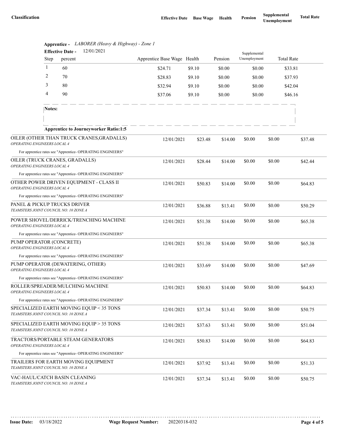|                                                                        |              | 12/01/2021<br><b>Effective Date -</b>                      |                             |         |         | Supplemental |        |                   |
|------------------------------------------------------------------------|--------------|------------------------------------------------------------|-----------------------------|---------|---------|--------------|--------|-------------------|
|                                                                        | Step         | percent                                                    | Apprentice Base Wage Health |         | Pension | Unemployment |        | <b>Total Rate</b> |
|                                                                        | $\mathbf{1}$ | 60                                                         | \$24.71                     | \$9.10  | \$0.00  | \$0.00       |        | \$33.81           |
|                                                                        | 2            | 70                                                         | \$28.83                     | \$9.10  | \$0.00  | \$0.00       |        | \$37.93           |
|                                                                        | 3            | 80                                                         | \$32.94                     | \$9.10  | \$0.00  | \$0.00       |        | \$42.04           |
|                                                                        | 4            | 90                                                         | \$37.06                     | \$9.10  | \$0.00  | \$0.00       |        | \$46.16           |
|                                                                        | Notes:       |                                                            |                             |         |         |              |        |                   |
|                                                                        |              | <b>Apprentice to Journeyworker Ratio:1:5</b>               |                             |         |         |              |        |                   |
| OPERATING ENGINEERS LOCAL 4                                            |              | OILER (OTHER THAN TRUCK CRANES, GRADALLS)                  | 12/01/2021                  | \$23.48 | \$14.00 | \$0.00       | \$0.00 | \$37.48           |
|                                                                        |              | For apprentice rates see "Apprentice- OPERATING ENGINEERS" |                             |         |         |              |        |                   |
| OPERATING ENGINEERS LOCAL 4                                            |              | OILER (TRUCK CRANES, GRADALLS)                             | 12/01/2021                  | \$28.44 | \$14.00 | \$0.00       | \$0.00 | \$42.44           |
|                                                                        |              | For apprentice rates see "Apprentice- OPERATING ENGINEERS" |                             |         |         |              |        |                   |
| OPERATING ENGINEERS LOCAL 4                                            |              | OTHER POWER DRIVEN EQUIPMENT - CLASS II                    | 12/01/2021                  | \$50.83 | \$14.00 | \$0.00       | \$0.00 | \$64.83           |
|                                                                        |              | For apprentice rates see "Apprentice- OPERATING ENGINEERS" |                             |         |         |              |        |                   |
| TEAMSTERS JOINT COUNCIL NO. 10 ZONE A                                  |              | PANEL & PICKUP TRUCKS DRIVER                               | 12/01/2021                  | \$36.88 | \$13.41 | \$0.00       | \$0.00 | \$50.29           |
| OPERATING ENGINEERS LOCAL 4                                            |              | POWER SHOVEL/DERRICK/TRENCHING MACHINE                     | 12/01/2021                  | \$51.38 | \$14.00 | \$0.00       | \$0.00 | \$65.38           |
|                                                                        |              | For apprentice rates see "Apprentice- OPERATING ENGINEERS" |                             |         |         |              |        |                   |
| PUMP OPERATOR (CONCRETE)<br>OPERATING ENGINEERS LOCAL 4                |              |                                                            | 12/01/2021                  | \$51.38 | \$14.00 | \$0.00       | \$0.00 | \$65.38           |
|                                                                        |              | For apprentice rates see "Apprentice- OPERATING ENGINEERS" |                             |         |         |              |        |                   |
| PUMP OPERATOR (DEWATERING, OTHER)<br>OPERATING ENGINEERS LOCAL 4       |              |                                                            | 12/01/2021                  | \$33.69 | \$14.00 | \$0.00       | \$0.00 | \$47.69           |
|                                                                        |              | For apprentice rates see "Apprentice- OPERATING ENGINEERS" |                             |         |         |              |        |                   |
| ROLLER/SPREADER/MULCHING MACHINE<br><b>OPERATING ENGINEERS LOCAL 4</b> |              |                                                            | 12/01/2021                  | \$50.83 | \$14.00 | \$0.00       | \$0.00 | \$64.83           |
|                                                                        |              | For apprentice rates see "Apprentice- OPERATING ENGINEERS" |                             |         |         |              |        |                   |
| TEAMSTERS JOINT COUNCIL NO. 10 ZONE A                                  |              | SPECIALIZED EARTH MOVING EQUIP < 35 TONS                   | 12/01/2021                  | \$37.34 | \$13.41 | \$0.00       | \$0.00 | \$50.75           |
| TEAMSTERS JOINT COUNCIL NO. 10 ZONE A                                  |              | SPECIALIZED EARTH MOVING EQUIP > 35 TONS                   | 12/01/2021                  | \$37.63 | \$13.41 | \$0.00       | \$0.00 | \$51.04           |
| OPERATING ENGINEERS LOCAL 4                                            |              | TRACTORS/PORTABLE STEAM GENERATORS                         | 12/01/2021                  | \$50.83 | \$14.00 | \$0.00       | \$0.00 | \$64.83           |
|                                                                        |              | For apprentice rates see "Apprentice- OPERATING ENGINEERS" |                             |         |         |              |        |                   |
| TEAMSTERS JOINT COUNCIL NO. 10 ZONE A                                  |              | TRAILERS FOR EARTH MOVING EQUIPMENT                        | 12/01/2021                  | \$37.92 | \$13.41 | \$0.00       | \$0.00 | \$51.33           |
| TEAMSTERS JOINT COUNCIL NO. 10 ZONE A                                  |              | VAC-HAUL/CATCH BASIN CLEANING                              | 12/01/2021                  | \$37.34 | \$13.41 | \$0.00       | \$0.00 | \$50.75           |

|                              | Apprentice - LABORER (Heavy & Highway) - Zone 1 |
|------------------------------|-------------------------------------------------|
| $\mathbf{r}$ as $\mathbf{r}$ | 10/01/001                                       |